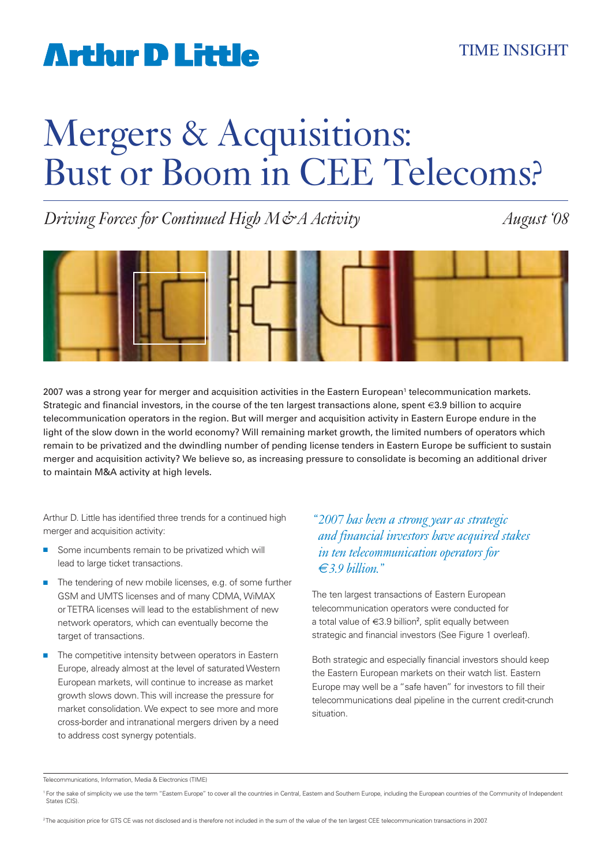# Mergers & Acquisitions: Bust or Boom in CEE Telecoms?

*Driving Forces for Continued High M&A Activity August '08*



2007 was a strong year for merger and acquisition activities in the Eastern European<sup>1</sup> telecommunication markets. Strategic and financial investors, in the course of the ten largest transactions alone, spent **€**3.9 billion to acquire telecommunication operators in the region. But will merger and acquisition activity in Eastern Europe endure in the light of the slow down in the world economy? Will remaining market growth, the limited numbers of operators which remain to be privatized and the dwindling number of pending license tenders in Eastern Europe be sufficient to sustain merger and acquisition activity? We believe so, as increasing pressure to consolidate is becoming an additional driver to maintain M&A activity at high levels.

Arthur D. Little has identified three trends for a continued high merger and acquisition activity:

- Some incumbents remain to be privatized which will lead to large ticket transactions.
- The tendering of new mobile licenses, e.g. of some further GSM and UMTS licenses and of many CDMA, WiMAX or TETRA licenses will lead to the establishment of new network operators, which can eventually become the target of transactions.
- The competitive intensity between operators in Eastern Europe, already almost at the level of saturated Western European markets, will continue to increase as market growth slows down. This will increase the pressure for market consolidation. We expect to see more and more cross-border and intranational mergers driven by a need to address cost synergy potentials.

### *" 2007 has been a strong year as strategic and financial investors have acquired stakes in ten telecommunication operators for €3.9 billion."*

The ten largest transactions of Eastern European telecommunication operators were conducted for a total value of  $\epsilon$ 3.9 billion<sup>2</sup>, split equally between strategic and financial investors (See Figure 1 overleaf).

Both strategic and especially financial investors should keep the Eastern European markets on their watch list. Eastern Europe may well be a "safe haven" for investors to fill their telecommunications deal pipeline in the current credit-crunch situation.

2 The acquisition price for GTS CE was not disclosed and is therefore not included in the sum of the value of the ten largest CEE telecommunication transactions in 2007.

Telecommunications, Information, Media & Electronics (TIME)

<sup>&</sup>lt;sup>1</sup> For the sake of simplicity we use the term "Eastern Europe" to cover all the countries in Central, Eastern and Southern Europe, including the European countries of the Community of Independent States (CIS).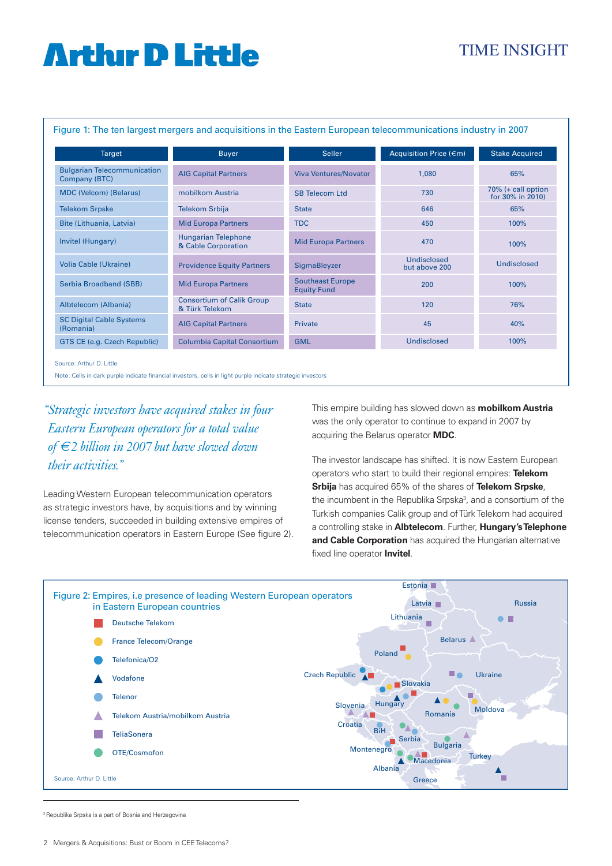## TIME INSIGHT

Figure 1: The ten largest mergers and acquisitions in the Eastern European telecommunications industry in 2007

| <b>Target</b>                                       | <b>Buyer</b>                                       | <b>Seller</b>                                 | Acquisition Price (€m)              | <b>Stake Acquired</b>                     |
|-----------------------------------------------------|----------------------------------------------------|-----------------------------------------------|-------------------------------------|-------------------------------------------|
| <b>Bulgarian Telecommunication</b><br>Company (BTC) | <b>AIG Capital Partners</b>                        | <b>Viva Ventures/Novator</b>                  | 1,080                               | 65%                                       |
| <b>MDC (Velcom) (Belarus)</b>                       | mobilkom Austria                                   | <b>SB Telecom Ltd</b>                         | 730                                 | $70\%$ (+ call option<br>for 30% in 2010) |
| <b>Telekom Srpske</b>                               | <b>Telekom Srbija</b>                              | <b>State</b>                                  | 646                                 | 65%                                       |
| Bite (Lithuania, Latvia)                            | <b>Mid Europa Partners</b>                         | <b>TDC</b>                                    | 450                                 | 100%                                      |
| Invitel (Hungary)                                   | <b>Hungarian Telephone</b><br>& Cable Corporation  | <b>Mid Europa Partners</b>                    | 470                                 | 100%                                      |
| <b>Volia Cable (Ukraine)</b>                        | <b>Providence Equity Partners</b>                  | SigmaBleyzer                                  | <b>Undisclosed</b><br>but above 200 | Undisclosed                               |
| Serbia Broadband (SBB)                              | <b>Mid Europa Partners</b>                         | <b>Southeast Europe</b><br><b>Equity Fund</b> | 200                                 | 100%                                      |
| Albtelecom (Albania)                                | <b>Consortium of Calik Group</b><br>& Türk Telekom | <b>State</b>                                  | 120                                 | 76%                                       |
| <b>SC Digital Cable Systems</b><br>(Romania)        | <b>AIG Capital Partners</b>                        | Private                                       | 45                                  | 40%                                       |
| GTS CE (e.g. Czech Republic)                        | <b>Columbia Capital Consortium</b>                 | <b>GML</b>                                    | Undisclosed                         | 100%                                      |

Note: Cells in dark purple indicate financial investors, cells in light purple indicate strategic investors

*" Strategic investors have acquired stakes in four Eastern European operators for a total value of €2 billion in 2007 but have slowed down their activities."*

Leading Western European telecommunication operators as strategic investors have, by acquisitions and by winning license tenders, succeeded in building extensive empires of telecommunication operators in Eastern Europe (See figure 2). This empire building has slowed down as **mobilkom Austria** was the only operator to continue to expand in 2007 by acquiring the Belarus operator **MDC**.

The investor landscape has shifted. It is now Eastern European operators who start to build their regional empires: **Telekom Srbija** has acquired 65% of the shares of **Telekom Srpske**, the incumbent in the Republika Srpska<sup>3</sup>, and a consortium of the Turkish companies Calik group and of Türk Telekom had acquired a controlling stake in **Albtelecom**. Further, **Hungary's Telephone and Cable Corporation** has acquired the Hungarian alternative fixed line operator **Invitel**.



<sup>3</sup> Republika Srpska is a part of Bosnia and Herzegovina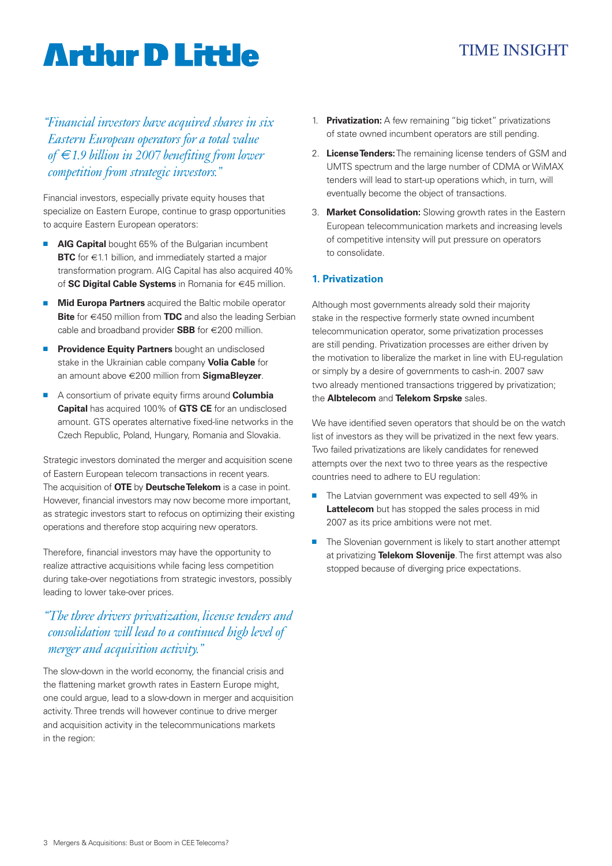## TIME INSIGHT

*" Financial investors have acquired shares in six Eastern European operators for a total value of €1.9 billion in 2007 benefiting from lower competition from strategic investors."*

Financial investors, especially private equity houses that specialize on Eastern Europe, continue to grasp opportunities to acquire Eastern European operators:

- **AIG Capital** bought 65% of the Bulgarian incumbent **BTC** for €1.1 billion, and immediately started a major transformation program. AIG Capital has also acquired 40% of **SC Digital Cable Systems** in Romania for €45 million.
- **Mid Europa Partners** acquired the Baltic mobile operator **Bite** for €450 million from **TDC** and also the leading Serbian cable and broadband provider **SBB** for €200 million.
- **Providence Equity Partners** bought an undisclosed stake in the Ukrainian cable company **Volia Cable** for an amount above €200 million from **SigmaBleyzer**.
- A consortium of private equity firms around **Columbia Capital** has acquired 100% of **GTS CE** for an undisclosed amount. GTS operates alternative fixed-line networks in the Czech Republic, Poland, Hungary, Romania and Slovakia.

Strategic investors dominated the merger and acquisition scene of Eastern European telecom transactions in recent years. The acquisition of **OTE** by **Deutsche Telekom** is a case in point. However, financial investors may now become more important, as strategic investors start to refocus on optimizing their existing operations and therefore stop acquiring new operators.

Therefore, financial investors may have the opportunity to realize attractive acquisitions while facing less competition during take-over negotiations from strategic investors, possibly leading to lower take-over prices.

## *" The three drivers privatization, license tenders and consolidation will lead to a continued high level of merger and acquisition activity."*

The slow-down in the world economy, the financial crisis and the flattening market growth rates in Eastern Europe might, one could argue, lead to a slow-down in merger and acquisition activity. Three trends will however continue to drive merger and acquisition activity in the telecommunications markets in the region:

- 1. **Privatization:** A few remaining "big ticket" privatizations of state owned incumbent operators are still pending.
- 2. **License Tenders:** The remaining license tenders of GSM and UMTS spectrum and the large number of CDMA or WiMAX tenders will lead to start-up operations which, in turn, will eventually become the object of transactions.
- 3. **Market Consolidation:** Slowing growth rates in the Eastern European telecommunication markets and increasing levels of competitive intensity will put pressure on operators to consolidate.

### **1. Privatization**

Although most governments already sold their majority stake in the respective formerly state owned incumbent telecommunication operator, some privatization processes are still pending. Privatization processes are either driven by the motivation to liberalize the market in line with EU-regulation or simply by a desire of governments to cash-in. 2007 saw two already mentioned transactions triggered by privatization; the **Albtelecom** and **Telekom Srpske** sales.

We have identified seven operators that should be on the watch list of investors as they will be privatized in the next few years. Two failed privatizations are likely candidates for renewed attempts over the next two to three years as the respective countries need to adhere to EU regulation:

- The Latvian government was expected to sell 49% in **Lattelecom** but has stopped the sales process in mid 2007 as its price ambitions were not met.
- The Slovenian government is likely to start another attempt at privatizing **Telekom Slovenije**. The first attempt was also stopped because of diverging price expectations.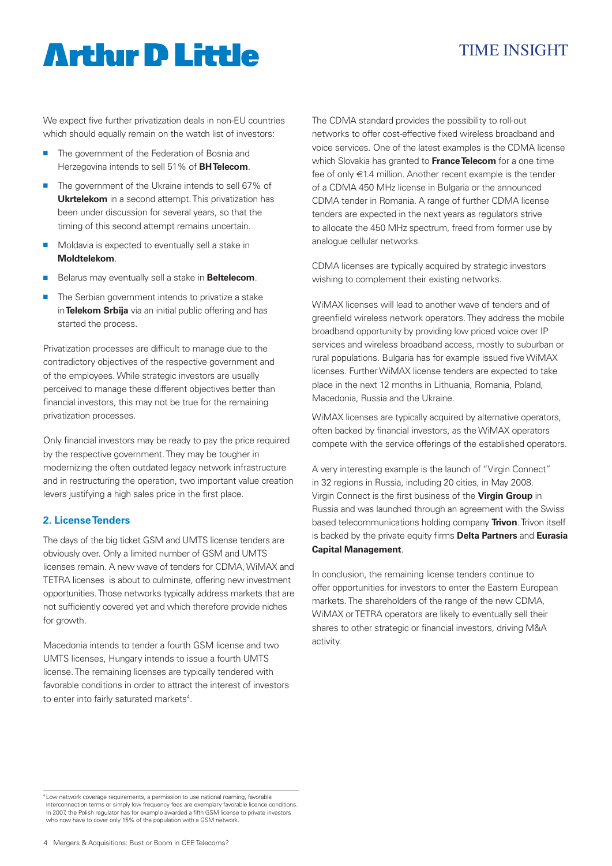## TIME INSIGHT

We expect five further privatization deals in non-EU countries which should equally remain on the watch list of investors:

- The government of the Federation of Bosnia and Herzegovina intends to sell 51% of **BH Telecom**.
- The government of the Ukraine intends to sell 67% of **Ukrtelekom** in a second attempt. This privatization has been under discussion for several years, so that the timing of this second attempt remains uncertain.
- Moldavia is expected to eventually sell a stake in **Moldtelekom**.
- Belarus may eventually sell a stake in **Beltelecom**.
- The Serbian government intends to privatize a stake in **Telekom Srbija** via an initial public offering and has started the process.

Privatization processes are difficult to manage due to the contradictory objectives of the respective government and of the employees. While strategic investors are usually perceived to manage these different objectives better than financial investors, this may not be true for the remaining privatization processes.

Only financial investors may be ready to pay the price required by the respective government. They may be tougher in modernizing the often outdated legacy network infrastructure and in restructuring the operation, two important value creation levers justifying a high sales price in the first place.

### **2. License Tenders**

The days of the big ticket GSM and UMTS license tenders are obviously over. Only a limited number of GSM and UMTS licenses remain. A new wave of tenders for CDMA, WiMAX and TETRA licenses is about to culminate, offering new investment opportunities. Those networks typically address markets that are not sufficiently covered yet and which therefore provide niches for growth.

Macedonia intends to tender a fourth GSM license and two UMTS licenses, Hungary intends to issue a fourth UMTS license. The remaining licenses are typically tendered with favorable conditions in order to attract the interest of investors to enter into fairly saturated markets<sup>4</sup>.

The CDMA standard provides the possibility to roll-out networks to offer cost-effective fixed wireless broadband and voice services. One of the latest examples is the CDMA license which Slovakia has granted to **France Telecom** for a one time fee of only €1.4 million. Another recent example is the tender of a CDMA 450 MHz license in Bulgaria or the announced CDMA tender in Romania. A range of further CDMA license tenders are expected in the next years as regulators strive to allocate the 450 MHz spectrum, freed from former use by analogue cellular networks.

CDMA licenses are typically acquired by strategic investors wishing to complement their existing networks.

WiMAX licenses will lead to another wave of tenders and of greenfield wireless network operators. They address the mobile broadband opportunity by providing low priced voice over IP services and wireless broadband access, mostly to suburban or rural populations. Bulgaria has for example issued five WiMAX licenses. Further WiMAX license tenders are expected to take place in the next 12 months in Lithuania, Romania, Poland, Macedonia, Russia and the Ukraine.

WiMAX licenses are typically acquired by alternative operators, often backed by financial investors, as the WiMAX operators compete with the service offerings of the established operators.

A very interesting example is the launch of "Virgin Connect" in 32 regions in Russia, including 20 cities, in May 2008. Virgin Connect is the first business of the **Virgin Group** in Russia and was launched through an agreement with the Swiss based telecommunications holding company **Trivon**. Trivon itself is backed by the private equity firms **Delta Partners** and **Eurasia Capital Management**.

In conclusion, the remaining license tenders continue to offer opportunities for investors to enter the Eastern European markets. The shareholders of the range of the new CDMA, WiMAX or TETRA operators are likely to eventually sell their shares to other strategic or financial investors, driving M&A activity.

<sup>4</sup> Low network coverage requirements, a permission to use national roaming, favorable interconnection terms or simply low frequency fees are exemplary favorable licence conditions. In 2007, the Polish regulator has for example awarded a fifth GSM license to private investors who now have to cover only 15% of the population with a GSM network.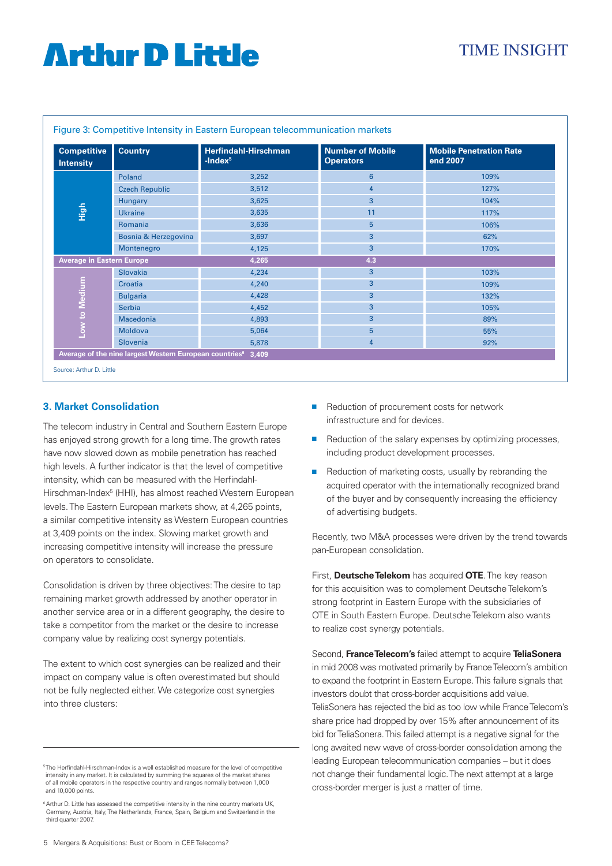| <b>Competitive</b><br><b>Intensity</b> | <b>Country</b>        | <b>Herfindahl-Hirschman</b><br>$-$ Index $5$ | <b>Number of Mobile</b><br><b>Operators</b> | <b>Mobile Penetration Rate</b><br>end 2007 |
|----------------------------------------|-----------------------|----------------------------------------------|---------------------------------------------|--------------------------------------------|
| <b>High</b>                            | Poland                | 3,252                                        | 6                                           | 109%                                       |
|                                        | <b>Czech Republic</b> | 3,512                                        | 4                                           | 127%                                       |
|                                        | Hungary               | 3,625                                        | 3                                           | 104%                                       |
|                                        | <b>Ukraine</b>        | 3,635                                        | 11                                          | 117%                                       |
|                                        | Romania               | 3,636                                        | 5                                           | 106%                                       |
|                                        | Bosnia & Herzegovina  | 3,697                                        | 3                                           | 62%                                        |
|                                        | Montenegro            | 4,125                                        | 3                                           | 170%                                       |
| <b>Average in Eastern Europe</b>       |                       | 4,265                                        | 4.3                                         |                                            |
| Low to Medium                          | Slovakia              | 4,234                                        | 3                                           | 103%                                       |
|                                        | Croatia               | 4,240                                        | 3                                           | 109%                                       |
|                                        | <b>Bulgaria</b>       | 4,428                                        | 3                                           | 132%                                       |
|                                        | <b>Serbia</b>         | 4,452                                        | 3                                           | 105%                                       |
|                                        | Macedonia             | 4,893                                        | 3                                           | 89%                                        |
|                                        | Moldova               | 5,064                                        | 5                                           | 55%                                        |
|                                        | Slovenia              | 5,878                                        | 4                                           | 92%                                        |

### Figure 3: Competitive Intensity in Eastern European telecommunication markets

#### **3. Market Consolidation**

The telecom industry in Central and Southern Eastern Europe has enjoyed strong growth for a long time. The growth rates have now slowed down as mobile penetration has reached high levels. A further indicator is that the level of competitive intensity, which can be measured with the Herfindahl-Hirschman-Index<sup>5</sup> (HHI), has almost reached Western European levels. The Eastern European markets show, at 4,265 points, a similar competitive intensity as Western European countries at 3,409 points on the index. Slowing market growth and increasing competitive intensity will increase the pressure on operators to consolidate.

Consolidation is driven by three objectives: The desire to tap remaining market growth addressed by another operator in another service area or in a different geography, the desire to take a competitor from the market or the desire to increase company value by realizing cost synergy potentials.

The extent to which cost synergies can be realized and their impact on company value is often overestimated but should not be fully neglected either. We categorize cost synergies into three clusters:

- Reduction of procurement costs for network infrastructure and for devices.
- Reduction of the salary expenses by optimizing processes, including product development processes.
- Reduction of marketing costs, usually by rebranding the acquired operator with the internationally recognized brand of the buyer and by consequently increasing the efficiency of advertising budgets.

Recently, two M&A processes were driven by the trend towards pan-European consolidation.

First, **Deutsche Telekom** has acquired **OTE**. The key reason for this acquisition was to complement Deutsche Telekom's strong footprint in Eastern Europe with the subsidiaries of OTE in South Eastern Europe. Deutsche Telekom also wants to realize cost synergy potentials.

Second, **France Telecom's** failed attempt to acquire **TeliaSonera** in mid 2008 was motivated primarily by France Telecom's ambition to expand the footprint in Eastern Europe. This failure signals that investors doubt that cross-border acquisitions add value. TeliaSonera has rejected the bid as too low while France Telecom's share price had dropped by over 15% after announcement of its bid for TeliaSonera. This failed attempt is a negative signal for the long awaited new wave of cross-border consolidation among the leading European telecommunication companies – but it does not change their fundamental logic. The next attempt at a large cross-border merger is just a matter of time.

<sup>5</sup> The Herfindahl-Hirschman-Index is a well established measure for the level of competitive intensity in any market. It is calculated by summing the squares of the market shares of all mobile operators in the respective country and ranges normally between 1,000 and 10,000 points.

<sup>&</sup>lt;sup>6</sup> Arthur D. Little has assessed the competitive intensity in the nine country markets UK, Germany, Austria, Italy, The Netherlands, France, Spain, Belgium and Switzerland in the third quarter 2007.